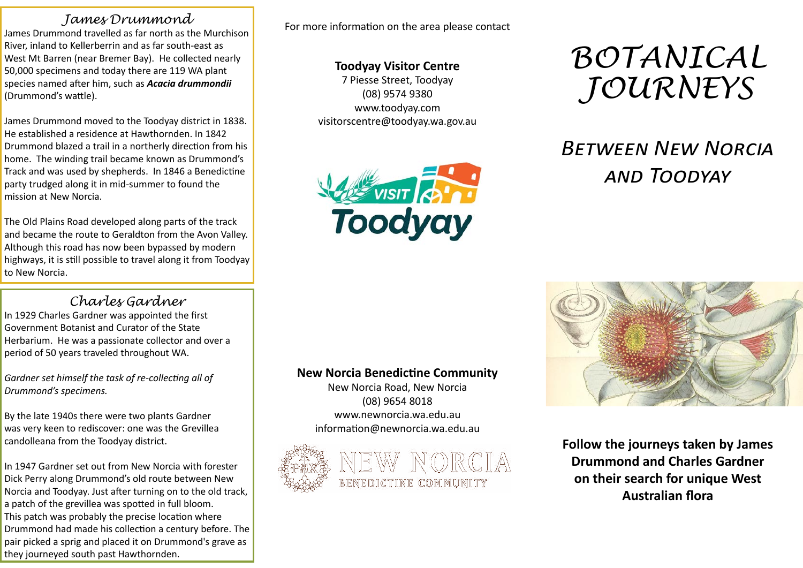### *James Drummond*

James Drummond travelled as far north as the Murchison River, inland to Kellerberrin and as far south-east as West Mt Barren (near Bremer Bay). He collected nearly 50,000 specimens and today there are 119 WA plant species named after him, such as *Acacia drummondii*  (Drummond's wattle).

James Drummond moved to the Toodyay district in 1838. He established a residence at Hawthornden. In 1842 Drummond blazed a trail in a northerly direction from his home. The winding trail became known as Drummond's Track and was used by shepherds. In 1846 a Benedictine party trudged along it in mid-summer to found the mission at New Norcia.

The Old Plains Road developed along parts of the track and became the route to Geraldton from the Avon Valley. Although this road has now been bypassed by modern highways, it is still possible to travel along it from Toodyay to New Norcia.

## *Charles Gardner*

In 1929 Charles Gardner was appointed the first Government Botanist and Curator of the State Herbarium. He was a passionate collector and over a period of 50 years traveled throughout WA.

*Gardner set himself the task of re-collecting all of Drummond's specimens.* 

By the late 1940s there were two plants Gardner was very keen to rediscover: one was the Grevillea candolleana from the Toodyay district.

In 1947 Gardner set out from New Norcia with forester Dick Perry along Drummond's old route between New Norcia and Toodyay. Just after turning on to the old track, a patch of the grevillea was spotted in full bloom. This patch was probably the precise location where Drummond had made his collection a century before. The pair picked a sprig and placed it on Drummond's grave as they journeyed south past Hawthornden.

For more information on the area please contact

#### **Toodyay Visitor Centre**

7 Piesse Street, Toodyay (08) 9574 9380 www.toodyay.com visitorscentre@toodyay.wa.gov.au



# *BOTANICAL JOURNEYS*

# *Between New Norcia and Toodyay*

#### **New Norcia Benedictine Community**

New Norcia Road, New Norcia (08) 9654 8018 www.newnorcia.wa.edu.au information@newnorcia.wa.edu.au





**Follow the journeys taken by James Drummond and Charles Gardner on their search for unique West Australian flora**